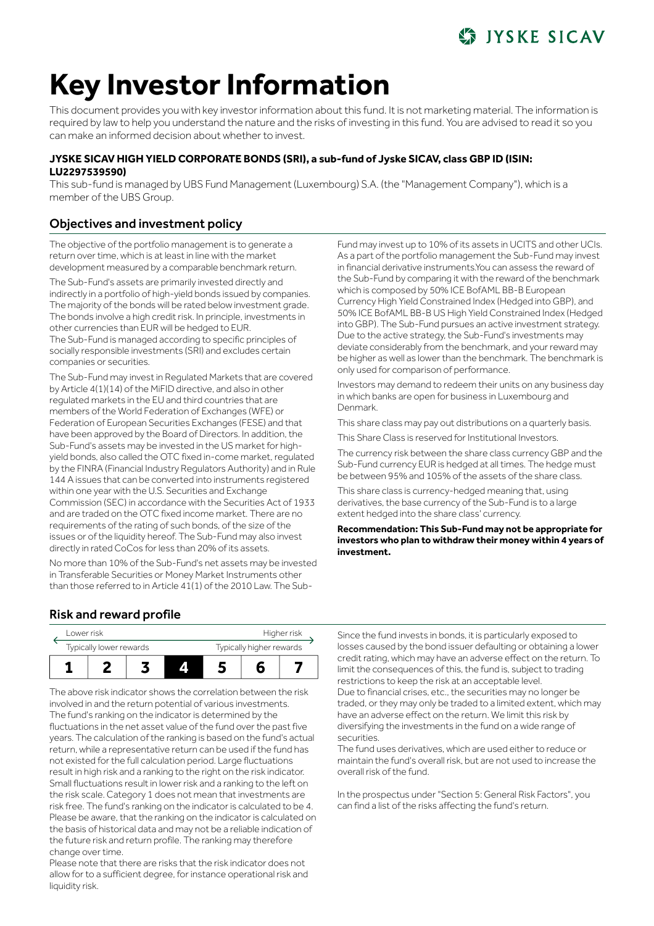# **STATISKE SICAV**

# **Key Investor Information**

This document provides you with key investor information about this fund. It is not marketing material. The information is required by law to help you understand the nature and the risks of investing in this fund. You are advised to read it so you can make an informed decision about whether to invest.

### **JYSKE SICAV HIGH YIELD CORPORATE BONDS (SRI), a sub-fund of Jyske SICAV, class GBP ID (ISIN: LU2297539590)**

This sub-fund is managed by UBS Fund Management (Luxembourg) S.A. (the "Management Company"), which is a member of the UBS Group.

# Objectives and investment policy

The objective of the portfolio management is to generate a return over time, which is at least in line with the market development measured by a comparable benchmark return.

The Sub-Fund's assets are primarily invested directly and indirectly in a portfolio of high-yield bonds issued by companies. The majority of the bonds will be rated below investment grade. The bonds involve a high credit risk. In principle, investments in other currencies than EUR will be hedged to EUR. The Sub-Fund is managed according to specific principles of socially responsible investments (SRI) and excludes certain companies or securities.

The Sub-Fund may invest in Regulated Markets that are covered by Article 4(1)(14) of the MiFID directive, and also in other regulated markets in the EU and third countries that are members of the World Federation of Exchanges (WFE) or Federation of European Securities Exchanges (FESE) and that have been approved by the Board of Directors. In addition, the Sub-Fund's assets may be invested in the US market for highyield bonds, also called the OTC fixed in-come market, regulated by the FINRA (Financial Industry Regulators Authority) and in Rule 144 A issues that can be converted into instruments registered within one year with the U.S. Securities and Exchange Commission (SEC) in accordance with the Securities Act of 1933 and are traded on the OTC fixed income market. There are no requirements of the rating of such bonds, of the size of the issues or of the liquidity hereof. The Sub-Fund may also invest directly in rated CoCos for less than 20% of its assets.

No more than 10% of the Sub-Fund's net assets may be invested in Transferable Securities or Money Market Instruments other than those referred to in Article 41(1) of the 2010 Law. The SubFund may invest up to 10% of its assets in UCITS and other UCIs. As a part of the portfolio management the Sub-Fund may invest in financial derivative instruments.You can assess the reward of the Sub-Fund by comparing it with the reward of the benchmark which is composed by 50% ICE BofAML BB-B European Currency High Yield Constrained Index (Hedged into GBP), and 50% ICE BofAML BB-B US High Yield Constrained Index (Hedged into GBP). The Sub-Fund pursues an active investment strategy. Due to the active strategy, the Sub-Fund's investments may deviate considerably from the benchmark, and your reward may be higher as well as lower than the benchmark. The benchmark is only used for comparison of performance.

Investors may demand to redeem their units on any business day in which banks are open for business in Luxembourg and Denmark.

This share class may pay out distributions on a quarterly basis.

This Share Class is reserved for Institutional Investors.

The currency risk between the share class currency GBP and the Sub-Fund currency EUR is hedged at all times. The hedge must be between 95% and 105% of the assets of the share class.

This share class is currency-hedged meaning that, using derivatives, the base currency of the Sub-Fund is to a large extent hedged into the share class' currency.

**Recommendation: This Sub-Fund may not be appropriate for investors who plan to withdraw their money within 4 years of investment.**

# Risk and reward profile



The above risk indicator shows the correlation between the risk involved in and the return potential of various investments. The fund's ranking on the indicator is determined by the fluctuations in the net asset value of the fund over the past five years. The calculation of the ranking is based on the fund's actual return, while a representative return can be used if the fund has not existed for the full calculation period. Large fluctuations result in high risk and a ranking to the right on the risk indicator. Small fluctuations result in lower risk and a ranking to the left on the risk scale. Category 1 does not mean that investments are risk free. The fund's ranking on the indicator is calculated to be 4. Please be aware, that the ranking on the indicator is calculated on the basis of historical data and may not be a reliable indication of the future risk and return profile. The ranking may therefore change over time.

Please note that there are risks that the risk indicator does not allow for to a sufficient degree, for instance operational risk and liquidity risk.

Since the fund invests in bonds, it is particularly exposed to losses caused by the bond issuer defaulting or obtaining a lower credit rating, which may have an adverse effect on the return. To limit the consequences of this, the fund is, subject to trading restrictions to keep the risk at an acceptable level. Due to financial crises, etc., the securities may no longer be traded, or they may only be traded to a limited extent, which may have an adverse effect on the return. We limit this risk by diversifying the investments in the fund on a wide range of securities.

The fund uses derivatives, which are used either to reduce or maintain the fund's overall risk, but are not used to increase the overall risk of the fund.

In the prospectus under "Section 5: General Risk Factors", you can find a list of the risks affecting the fund's return.